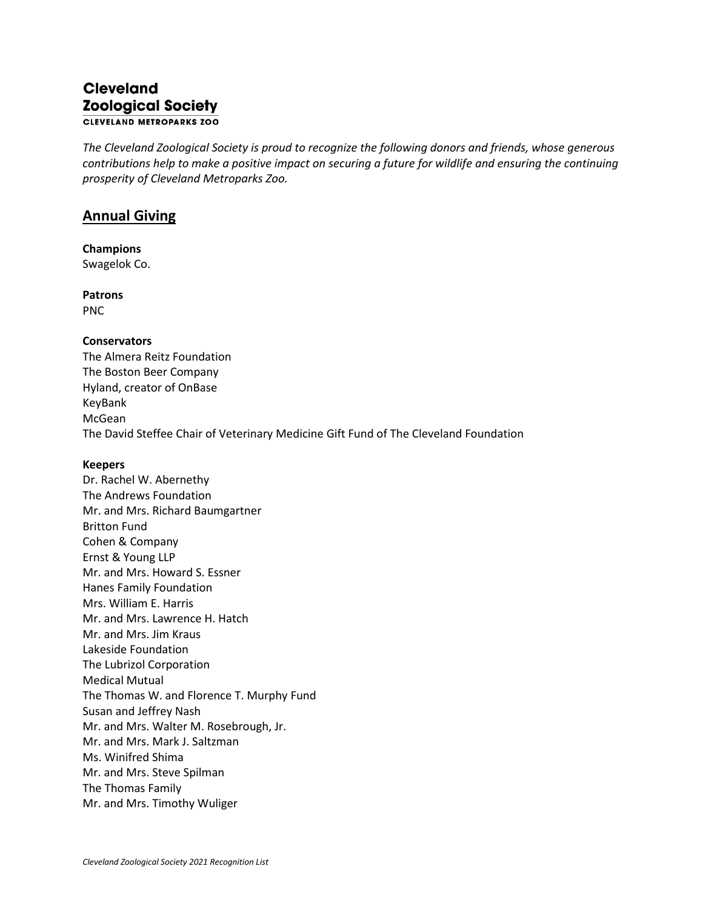## **Cleveland Zoological Society CLEVELAND METROPARKS ZOO**

*The Cleveland Zoological Society is proud to recognize the following donors and friends, whose generous contributions help to make a positive impact on securing a future for wildlife and ensuring the continuing prosperity of Cleveland Metroparks Zoo.*

# **Annual Giving**

**Champions** Swagelok Co.

**Patrons** PNC

### **Conservators**

The Almera Reitz Foundation The Boston Beer Company Hyland, creator of OnBase KeyBank McGean The David Steffee Chair of Veterinary Medicine Gift Fund of The Cleveland Foundation

### **Keepers**

Dr. Rachel W. Abernethy The Andrews Foundation Mr. and Mrs. Richard Baumgartner Britton Fund Cohen & Company Ernst & Young LLP Mr. and Mrs. Howard S. Essner Hanes Family Foundation Mrs. William E. Harris Mr. and Mrs. Lawrence H. Hatch Mr. and Mrs. Jim Kraus Lakeside Foundation The Lubrizol Corporation Medical Mutual The Thomas W. and Florence T. Murphy Fund Susan and Jeffrey Nash Mr. and Mrs. Walter M. Rosebrough, Jr. Mr. and Mrs. Mark J. Saltzman Ms. Winifred Shima Mr. and Mrs. Steve Spilman The Thomas Family Mr. and Mrs. Timothy Wuliger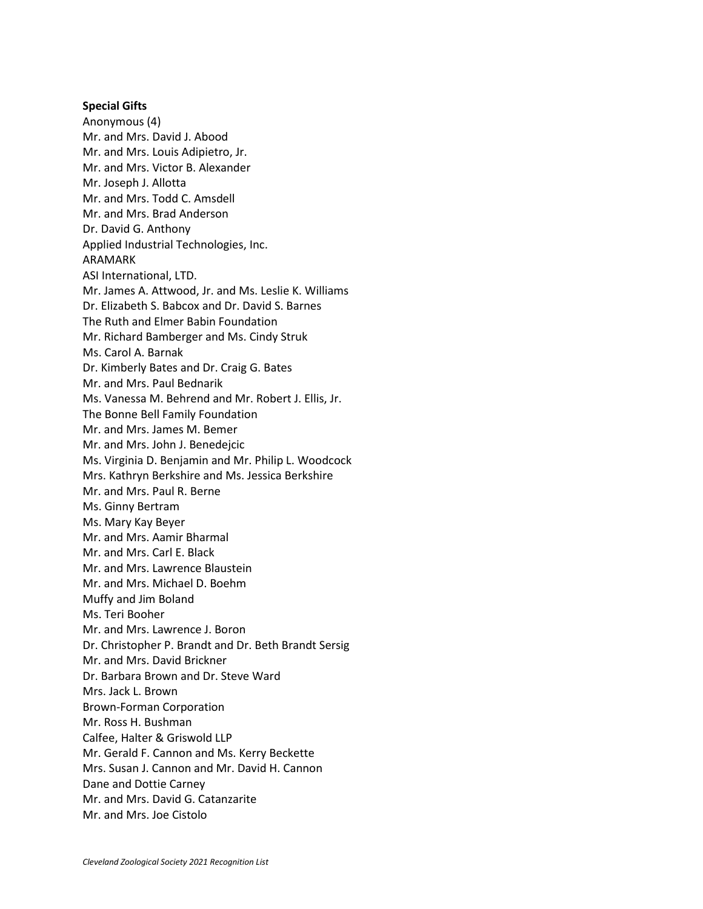#### **Special Gifts**

Anonymous (4) Mr. and Mrs. David J. Abood Mr. and Mrs. Louis Adipietro, Jr. Mr. and Mrs. Victor B. Alexander Mr. Joseph J. Allotta Mr. and Mrs. Todd C. Amsdell Mr. and Mrs. Brad Anderson Dr. David G. Anthony Applied Industrial Technologies, Inc. ARAMARK ASI International, LTD. Mr. James A. Attwood, Jr. and Ms. Leslie K. Williams Dr. Elizabeth S. Babcox and Dr. David S. Barnes The Ruth and Elmer Babin Foundation Mr. Richard Bamberger and Ms. Cindy Struk Ms. Carol A. Barnak Dr. Kimberly Bates and Dr. Craig G. Bates Mr. and Mrs. Paul Bednarik Ms. Vanessa M. Behrend and Mr. Robert J. Ellis, Jr. The Bonne Bell Family Foundation Mr. and Mrs. James M. Bemer Mr. and Mrs. John J. Benedejcic Ms. Virginia D. Benjamin and Mr. Philip L. Woodcock Mrs. Kathryn Berkshire and Ms. Jessica Berkshire Mr. and Mrs. Paul R. Berne Ms. Ginny Bertram Ms. Mary Kay Beyer Mr. and Mrs. Aamir Bharmal Mr. and Mrs. Carl E. Black Mr. and Mrs. Lawrence Blaustein Mr. and Mrs. Michael D. Boehm Muffy and Jim Boland Ms. Teri Booher Mr. and Mrs. Lawrence J. Boron Dr. Christopher P. Brandt and Dr. Beth Brandt Sersig Mr. and Mrs. David Brickner Dr. Barbara Brown and Dr. Steve Ward Mrs. Jack L. Brown Brown-Forman Corporation Mr. Ross H. Bushman Calfee, Halter & Griswold LLP Mr. Gerald F. Cannon and Ms. Kerry Beckette Mrs. Susan J. Cannon and Mr. David H. Cannon Dane and Dottie Carney Mr. and Mrs. David G. Catanzarite Mr. and Mrs. Joe Cistolo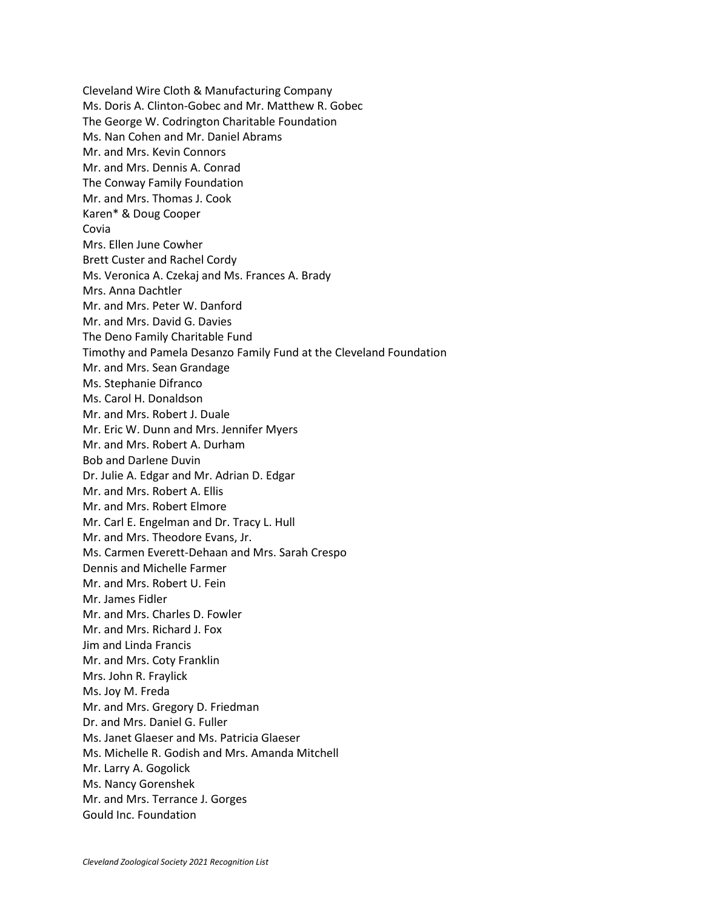Cleveland Wire Cloth & Manufacturing Company Ms. Doris A. Clinton-Gobec and Mr. Matthew R. Gobec The George W. Codrington Charitable Foundation Ms. Nan Cohen and Mr. Daniel Abrams Mr. and Mrs. Kevin Connors Mr. and Mrs. Dennis A. Conrad The Conway Family Foundation Mr. and Mrs. Thomas J. Cook Karen\* & Doug Cooper Covia Mrs. Ellen June Cowher Brett Custer and Rachel Cordy Ms. Veronica A. Czekaj and Ms. Frances A. Brady Mrs. Anna Dachtler Mr. and Mrs. Peter W. Danford Mr. and Mrs. David G. Davies The Deno Family Charitable Fund Timothy and Pamela Desanzo Family Fund at the Cleveland Foundation Mr. and Mrs. Sean Grandage Ms. Stephanie Difranco Ms. Carol H. Donaldson Mr. and Mrs. Robert J. Duale Mr. Eric W. Dunn and Mrs. Jennifer Myers Mr. and Mrs. Robert A. Durham Bob and Darlene Duvin Dr. Julie A. Edgar and Mr. Adrian D. Edgar Mr. and Mrs. Robert A. Ellis Mr. and Mrs. Robert Elmore Mr. Carl E. Engelman and Dr. Tracy L. Hull Mr. and Mrs. Theodore Evans, Jr. Ms. Carmen Everett-Dehaan and Mrs. Sarah Crespo Dennis and Michelle Farmer Mr. and Mrs. Robert U. Fein Mr. James Fidler Mr. and Mrs. Charles D. Fowler Mr. and Mrs. Richard J. Fox Jim and Linda Francis Mr. and Mrs. Coty Franklin Mrs. John R. Fraylick Ms. Joy M. Freda Mr. and Mrs. Gregory D. Friedman Dr. and Mrs. Daniel G. Fuller Ms. Janet Glaeser and Ms. Patricia Glaeser Ms. Michelle R. Godish and Mrs. Amanda Mitchell Mr. Larry A. Gogolick Ms. Nancy Gorenshek Mr. and Mrs. Terrance J. Gorges Gould Inc. Foundation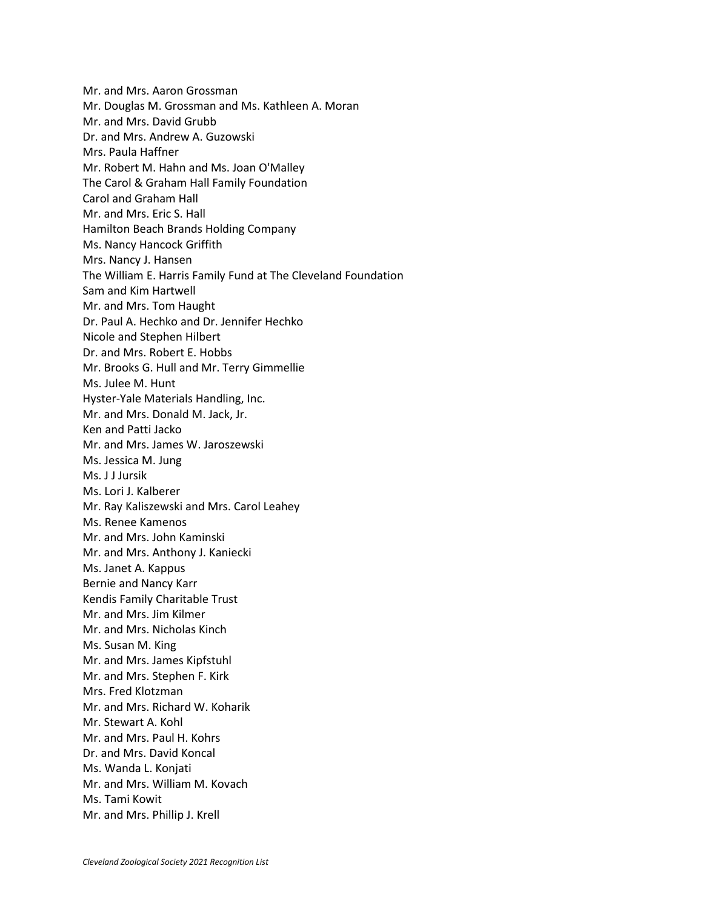Mr. and Mrs. Aaron Grossman Mr. Douglas M. Grossman and Ms. Kathleen A. Moran Mr. and Mrs. David Grubb Dr. and Mrs. Andrew A. Guzowski Mrs. Paula Haffner Mr. Robert M. Hahn and Ms. Joan O'Malley The Carol & Graham Hall Family Foundation Carol and Graham Hall Mr. and Mrs. Eric S. Hall Hamilton Beach Brands Holding Company Ms. Nancy Hancock Griffith Mrs. Nancy J. Hansen The William E. Harris Family Fund at The Cleveland Foundation Sam and Kim Hartwell Mr. and Mrs. Tom Haught Dr. Paul A. Hechko and Dr. Jennifer Hechko Nicole and Stephen Hilbert Dr. and Mrs. Robert E. Hobbs Mr. Brooks G. Hull and Mr. Terry Gimmellie Ms. Julee M. Hunt Hyster-Yale Materials Handling, Inc. Mr. and Mrs. Donald M. Jack, Jr. Ken and Patti Jacko Mr. and Mrs. James W. Jaroszewski Ms. Jessica M. Jung Ms. J J Jursik Ms. Lori J. Kalberer Mr. Ray Kaliszewski and Mrs. Carol Leahey Ms. Renee Kamenos Mr. and Mrs. John Kaminski Mr. and Mrs. Anthony J. Kaniecki Ms. Janet A. Kappus Bernie and Nancy Karr Kendis Family Charitable Trust Mr. and Mrs. Jim Kilmer Mr. and Mrs. Nicholas Kinch Ms. Susan M. King Mr. and Mrs. James Kipfstuhl Mr. and Mrs. Stephen F. Kirk Mrs. Fred Klotzman Mr. and Mrs. Richard W. Koharik Mr. Stewart A. Kohl Mr. and Mrs. Paul H. Kohrs Dr. and Mrs. David Koncal Ms. Wanda L. Konjati Mr. and Mrs. William M. Kovach Ms. Tami Kowit Mr. and Mrs. Phillip J. Krell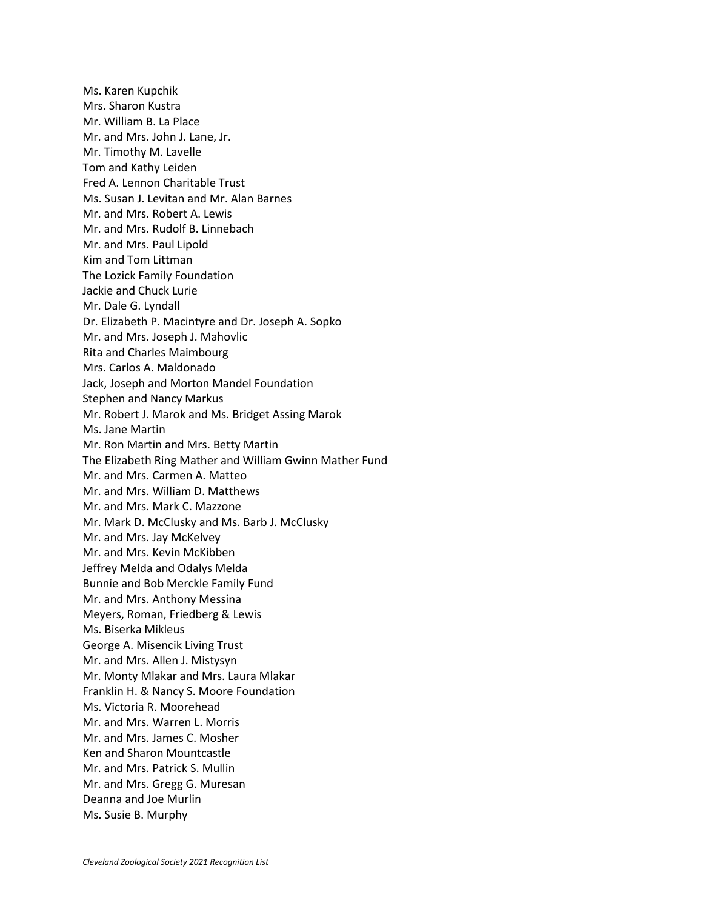Ms. Karen Kupchik Mrs. Sharon Kustra Mr. William B. La Place Mr. and Mrs. John J. Lane, Jr. Mr. Timothy M. Lavelle Tom and Kathy Leiden Fred A. Lennon Charitable Trust Ms. Susan J. Levitan and Mr. Alan Barnes Mr. and Mrs. Robert A. Lewis Mr. and Mrs. Rudolf B. Linnebach Mr. and Mrs. Paul Lipold Kim and Tom Littman The Lozick Family Foundation Jackie and Chuck Lurie Mr. Dale G. Lyndall Dr. Elizabeth P. Macintyre and Dr. Joseph A. Sopko Mr. and Mrs. Joseph J. Mahovlic Rita and Charles Maimbourg Mrs. Carlos A. Maldonado Jack, Joseph and Morton Mandel Foundation Stephen and Nancy Markus Mr. Robert J. Marok and Ms. Bridget Assing Marok Ms. Jane Martin Mr. Ron Martin and Mrs. Betty Martin The Elizabeth Ring Mather and William Gwinn Mather Fund Mr. and Mrs. Carmen A. Matteo Mr. and Mrs. William D. Matthews Mr. and Mrs. Mark C. Mazzone Mr. Mark D. McClusky and Ms. Barb J. McClusky Mr. and Mrs. Jay McKelvey Mr. and Mrs. Kevin McKibben Jeffrey Melda and Odalys Melda Bunnie and Bob Merckle Family Fund Mr. and Mrs. Anthony Messina Meyers, Roman, Friedberg & Lewis Ms. Biserka Mikleus George A. Misencik Living Trust Mr. and Mrs. Allen J. Mistysyn Mr. Monty Mlakar and Mrs. Laura Mlakar Franklin H. & Nancy S. Moore Foundation Ms. Victoria R. Moorehead Mr. and Mrs. Warren L. Morris Mr. and Mrs. James C. Mosher Ken and Sharon Mountcastle Mr. and Mrs. Patrick S. Mullin Mr. and Mrs. Gregg G. Muresan Deanna and Joe Murlin Ms. Susie B. Murphy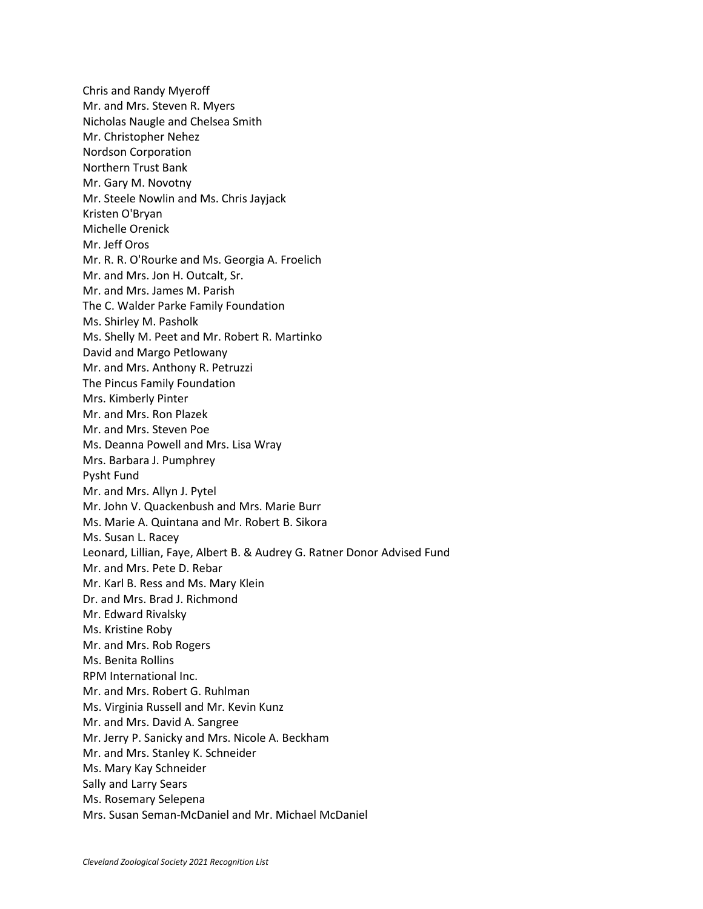Chris and Randy Myeroff Mr. and Mrs. Steven R. Myers Nicholas Naugle and Chelsea Smith Mr. Christopher Nehez Nordson Corporation Northern Trust Bank Mr. Gary M. Novotny Mr. Steele Nowlin and Ms. Chris Jayjack Kristen O'Bryan Michelle Orenick Mr. Jeff Oros Mr. R. R. O'Rourke and Ms. Georgia A. Froelich Mr. and Mrs. Jon H. Outcalt, Sr. Mr. and Mrs. James M. Parish The C. Walder Parke Family Foundation Ms. Shirley M. Pasholk Ms. Shelly M. Peet and Mr. Robert R. Martinko David and Margo Petlowany Mr. and Mrs. Anthony R. Petruzzi The Pincus Family Foundation Mrs. Kimberly Pinter Mr. and Mrs. Ron Plazek Mr. and Mrs. Steven Poe Ms. Deanna Powell and Mrs. Lisa Wray Mrs. Barbara J. Pumphrey Pysht Fund Mr. and Mrs. Allyn J. Pytel Mr. John V. Quackenbush and Mrs. Marie Burr Ms. Marie A. Quintana and Mr. Robert B. Sikora Ms. Susan L. Racey Leonard, Lillian, Faye, Albert B. & Audrey G. Ratner Donor Advised Fund Mr. and Mrs. Pete D. Rebar Mr. Karl B. Ress and Ms. Mary Klein Dr. and Mrs. Brad J. Richmond Mr. Edward Rivalsky Ms. Kristine Roby Mr. and Mrs. Rob Rogers Ms. Benita Rollins RPM International Inc. Mr. and Mrs. Robert G. Ruhlman Ms. Virginia Russell and Mr. Kevin Kunz Mr. and Mrs. David A. Sangree Mr. Jerry P. Sanicky and Mrs. Nicole A. Beckham Mr. and Mrs. Stanley K. Schneider Ms. Mary Kay Schneider Sally and Larry Sears Ms. Rosemary Selepena Mrs. Susan Seman-McDaniel and Mr. Michael McDaniel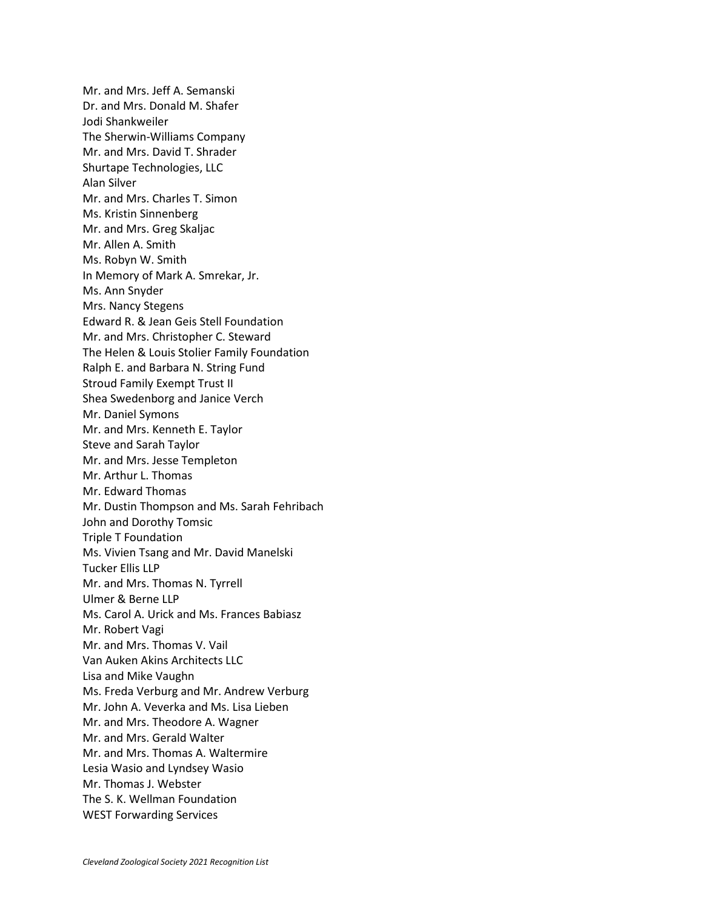Mr. and Mrs. Jeff A. Semanski Dr. and Mrs. Donald M. Shafer Jodi Shankweiler The Sherwin-Williams Company Mr. and Mrs. David T. Shrader Shurtape Technologies, LLC Alan Silver Mr. and Mrs. Charles T. Simon Ms. Kristin Sinnenberg Mr. and Mrs. Greg Skaljac Mr. Allen A. Smith Ms. Robyn W. Smith In Memory of Mark A. Smrekar, Jr. Ms. Ann Snyder Mrs. Nancy Stegens Edward R. & Jean Geis Stell Foundation Mr. and Mrs. Christopher C. Steward The Helen & Louis Stolier Family Foundation Ralph E. and Barbara N. String Fund Stroud Family Exempt Trust II Shea Swedenborg and Janice Verch Mr. Daniel Symons Mr. and Mrs. Kenneth E. Taylor Steve and Sarah Taylor Mr. and Mrs. Jesse Templeton Mr. Arthur L. Thomas Mr. Edward Thomas Mr. Dustin Thompson and Ms. Sarah Fehribach John and Dorothy Tomsic Triple T Foundation Ms. Vivien Tsang and Mr. David Manelski Tucker Ellis LLP Mr. and Mrs. Thomas N. Tyrrell Ulmer & Berne LLP Ms. Carol A. Urick and Ms. Frances Babiasz Mr. Robert Vagi Mr. and Mrs. Thomas V. Vail Van Auken Akins Architects LLC Lisa and Mike Vaughn Ms. Freda Verburg and Mr. Andrew Verburg Mr. John A. Veverka and Ms. Lisa Lieben Mr. and Mrs. Theodore A. Wagner Mr. and Mrs. Gerald Walter Mr. and Mrs. Thomas A. Waltermire Lesia Wasio and Lyndsey Wasio Mr. Thomas J. Webster The S. K. Wellman Foundation WEST Forwarding Services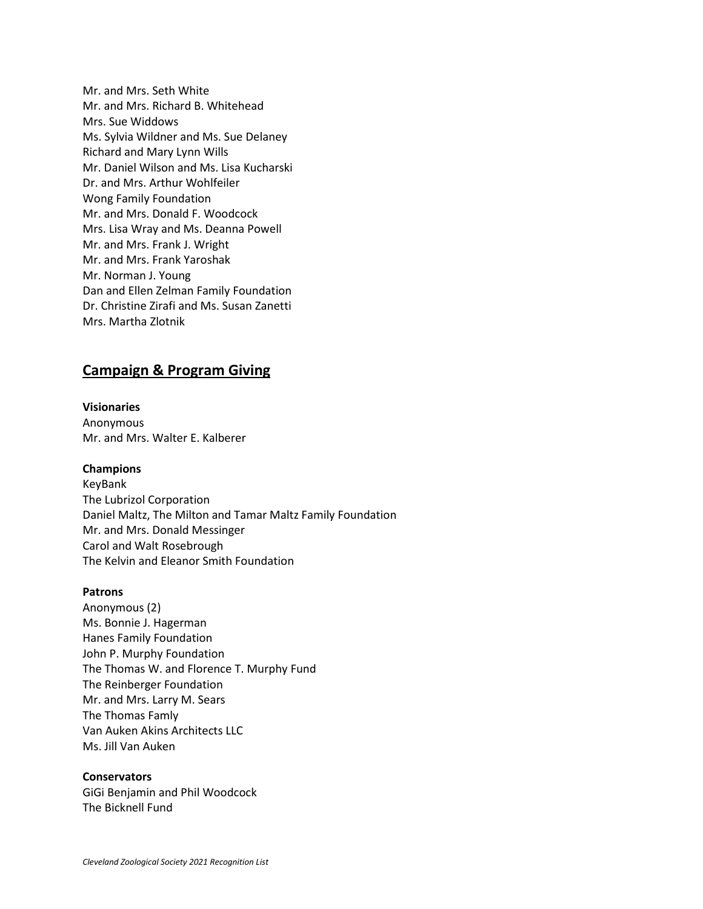Mr. and Mrs. Seth White Mr. and Mrs. Richard B. Whitehead Mrs. Sue Widdows Ms. Sylvia Wildner and Ms. Sue Delaney Richard and Mary Lynn Wills Mr. Daniel Wilson and Ms. Lisa Kucharski Dr. and Mrs. Arthur Wohlfeiler Wong Family Foundation Mr. and Mrs. Donald F. Woodcock Mrs. Lisa Wray and Ms. Deanna Powell Mr. and Mrs. Frank J. Wright Mr. and Mrs. Frank Yaroshak Mr. Norman J. Young Dan and Ellen Zelman Family Foundation Dr. Christine Zirafi and Ms. Susan Zanetti Mrs. Martha Zlotnik

## **Campaign & Program Giving**

**Visionaries** Anonymous Mr. and Mrs. Walter E. Kalberer

#### **Champions**

KeyBank The Lubrizol Corporation Daniel Maltz, The Milton and Tamar Maltz Family Foundation Mr. and Mrs. Donald Messinger Carol and Walt Rosebrough The Kelvin and Eleanor Smith Foundation

#### **Patrons**

Anonymous (2) Ms. Bonnie J. Hagerman Hanes Family Foundation John P. Murphy Foundation The Thomas W. and Florence T. Murphy Fund The Reinberger Foundation Mr. and Mrs. Larry M. Sears The Thomas Famly Van Auken Akins Architects LLC Ms. Jill Van Auken

### **Conservators**

GiGi Benjamin and Phil Woodcock The Bicknell Fund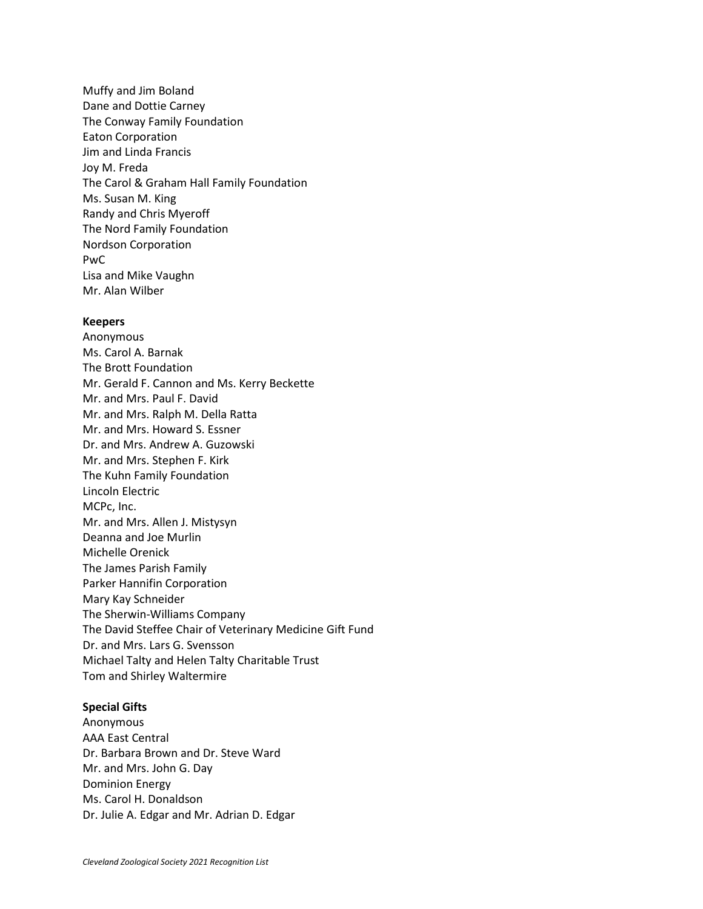Muffy and Jim Boland Dane and Dottie Carney The Conway Family Foundation Eaton Corporation Jim and Linda Francis Joy M. Freda The Carol & Graham Hall Family Foundation Ms. Susan M. King Randy and Chris Myeroff The Nord Family Foundation Nordson Corporation PwC Lisa and Mike Vaughn Mr. Alan Wilber

#### **Keepers**

Anonymous Ms. Carol A. Barnak The Brott Foundation Mr. Gerald F. Cannon and Ms. Kerry Beckette Mr. and Mrs. Paul F. David Mr. and Mrs. Ralph M. Della Ratta Mr. and Mrs. Howard S. Essner Dr. and Mrs. Andrew A. Guzowski Mr. and Mrs. Stephen F. Kirk The Kuhn Family Foundation Lincoln Electric MCPc, Inc. Mr. and Mrs. Allen J. Mistysyn Deanna and Joe Murlin Michelle Orenick The James Parish Family Parker Hannifin Corporation Mary Kay Schneider The Sherwin-Williams Company The David Steffee Chair of Veterinary Medicine Gift Fund Dr. and Mrs. Lars G. Svensson Michael Talty and Helen Talty Charitable Trust Tom and Shirley Waltermire

#### **Special Gifts**

Anonymous AAA East Central Dr. Barbara Brown and Dr. Steve Ward Mr. and Mrs. John G. Day Dominion Energy Ms. Carol H. Donaldson Dr. Julie A. Edgar and Mr. Adrian D. Edgar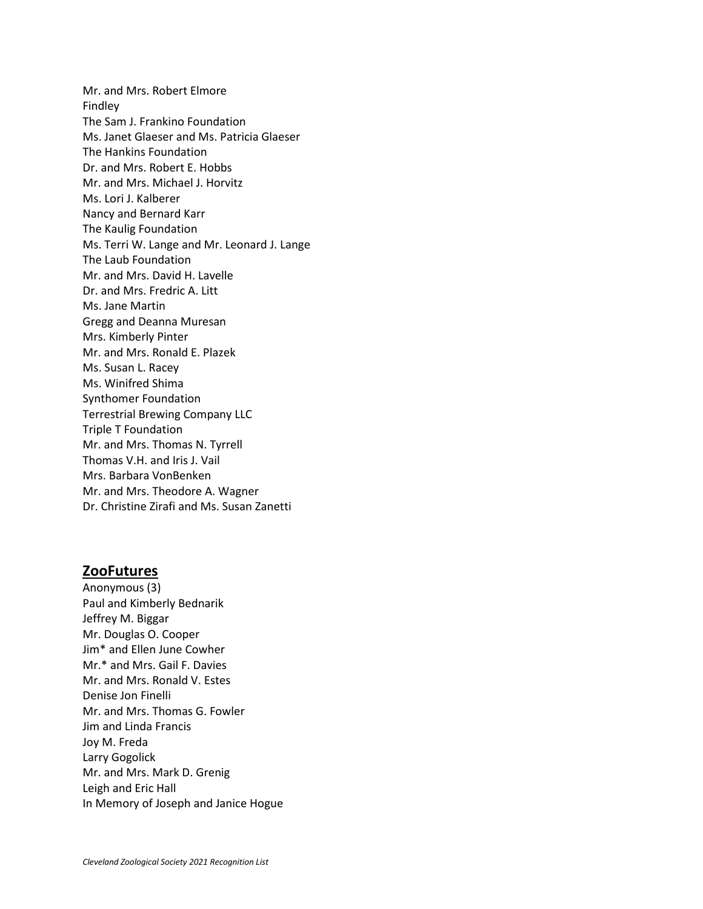Mr. and Mrs. Robert Elmore Findley The Sam J. Frankino Foundation Ms. Janet Glaeser and Ms. Patricia Glaeser The Hankins Foundation Dr. and Mrs. Robert E. Hobbs Mr. and Mrs. Michael J. Horvitz Ms. Lori J. Kalberer Nancy and Bernard Karr The Kaulig Foundation Ms. Terri W. Lange and Mr. Leonard J. Lange The Laub Foundation Mr. and Mrs. David H. Lavelle Dr. and Mrs. Fredric A. Litt Ms. Jane Martin Gregg and Deanna Muresan Mrs. Kimberly Pinter Mr. and Mrs. Ronald E. Plazek Ms. Susan L. Racey Ms. Winifred Shima Synthomer Foundation Terrestrial Brewing Company LLC Triple T Foundation Mr. and Mrs. Thomas N. Tyrrell Thomas V.H. and Iris J. Vail Mrs. Barbara VonBenken Mr. and Mrs. Theodore A. Wagner Dr. Christine Zirafi and Ms. Susan Zanetti

## **ZooFutures**

Anonymous (3) Paul and Kimberly Bednarik Jeffrey M. Biggar Mr. Douglas O. Cooper Jim\* and Ellen June Cowher Mr.\* and Mrs. Gail F. Davies Mr. and Mrs. Ronald V. Estes Denise Jon Finelli Mr. and Mrs. Thomas G. Fowler Jim and Linda Francis Joy M. Freda Larry Gogolick Mr. and Mrs. Mark D. Grenig Leigh and Eric Hall In Memory of Joseph and Janice Hogue